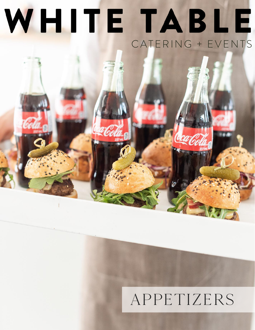# **WHITE TABLE** CATERING + EVENTS

# APPETIZERS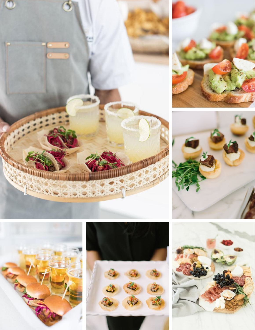